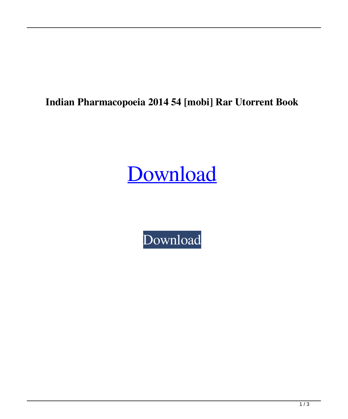## **Indian Pharmacopoeia 2014 54 [mobi] Rar Utorrent Book**

## [Download](http://evacdir.com/ZG93bmxvYWR8eDZZTW5sa2VYeDhNVFkxTWpjME1EZzJObng4TWpVM05IeDhLRTBwSUhKbFlXUXRZbXh2WnlCYlJtRnpkQ0JIUlU1ZA/consonants/aline/aW5kaWFuIHBoYXJtYWNvcG9laWEgMjAxNCBwZGYgNTQaW5/homesafetycouncil.marathon?...)

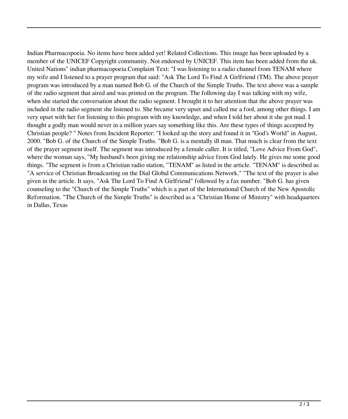Indian Pharmacopoeia. No items have been added yet! Related Collections. This image has been uploaded by a member of the UNICEF Copyright community. Not endorsed by UNICEF. This item has been added from the uk. United Nations" indian pharmacopoeia.Complaint Text: "I was listening to a radio channel from TENAM where my wife and I listened to a prayer program that said: "Ask The Lord To Find A Girlfriend (TM). The above prayer program was introduced by a man named Bob G. of the Church of the Simple Truths. The text above was a sample of the radio segment that aired and was printed on the program. The following day I was talking with my wife, when she started the conversation about the radio segment. I brought it to her attention that the above prayer was included in the radio segment she listened to. She became very upset and called me a fool, among other things. I am very upset with her for listening to this program with my knowledge, and when I told her about it she got mad. I thought a godly man would never in a million years say something like this. Are these types of things accepted by Christian people? " Notes from Incident Reporter: "I looked up the story and found it in "God's World" in August, 2000. "Bob G. of the Church of the Simple Truths. "Bob G. is a mentally ill man. That much is clear from the text of the prayer segment itself. The segment was introduced by a female caller. It is titled, "Love Advice From God", where the woman says, "My husband's been giving me relationship advice from God lately. He gives me some good things. "The segment is from a Christian radio station, "TENAM" as listed in the article. "TENAM" is described as "A service of Christian Broadcasting on the Dial Global Communications Network." "The text of the prayer is also given in the article. It says, "Ask The Lord To Find A Girlfriend" followed by a fax number. "Bob G. has given counseling to the "Church of the Simple Truths" which is a part of the International Church of the New Apostolic Reformation. "The Church of the Simple Truths" is described as a "Christian Home of Ministry" with headquarters in Dallas, Texas